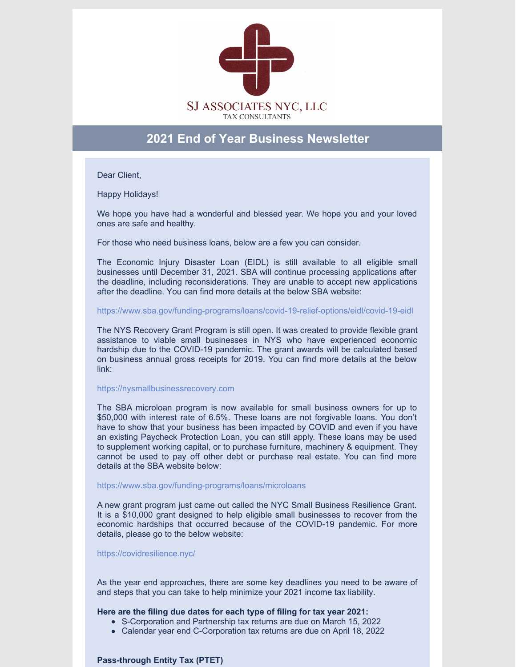

# **2021 End of Year Business Newsletter**

Dear Client,

Happy Holidays!

We hope you have had a wonderful and blessed year. We hope you and your loved ones are safe and healthy.

For those who need business loans, below are a few you can consider.

The Economic Injury Disaster Loan (EIDL) is still available to all eligible small businesses until December 31, 2021. SBA will continue processing applications after the deadline, including reconsiderations. They are unable to accept new applications after the deadline. You can find more details at the below SBA website:

<https://www.sba.gov/funding-programs/loans/covid-19-relief-options/eidl/covid-19-eidl>

The NYS Recovery Grant Program is still open. It was created to provide flexible grant assistance to viable small businesses in NYS who have experienced economic hardship due to the COVID-19 pandemic. The grant awards will be calculated based on business annual gross receipts for 2019. You can find more details at the below link:

## [https://nysmallbusinessrecovery.com](https://nysmallbusinessrecovery.com/?gclid=Cj0KCQiAnaeNBhCUARIsABEee8WIsaxTvVkua_hwQlbtRqw9d3SH4se7nJWCOUVNjihVOfb4dYF1S58aAuzAEALw_wcB)

The SBA microloan program is now available for small business owners for up to \$50,000 with interest rate of 6.5%. These loans are not forgivable loans. You don't have to show that your business has been impacted by COVID and even if you have an existing Paycheck Protection Loan, you can still apply. These loans may be used to supplement working capital, or to purchase furniture, machinery & equipment. They cannot be used to pay off other debt or purchase real estate. You can find more details at the SBA website below:

## <https://www.sba.gov/funding-programs/loans/microloans>

A new grant program just came out called the NYC Small Business Resilience Grant. It is a \$10,000 grant designed to help eligible small businesses to recover from the economic hardships that occurred because of the COVID-19 pandemic. For more details, please go to the below website:

## <https://covidresilience.nyc/>

As the year end approaches, there are some key deadlines you need to be aware of and steps that you can take to help minimize your 2021 income tax liability.

## **Here are the filing due dates for each type of filing for tax year 2021:**

- S-Corporation and Partnership tax returns are due on March 15, 2022
- Calendar year end C-Corporation tax returns are due on April 18, 2022

# **Pass-through Entity Tax (PTET)**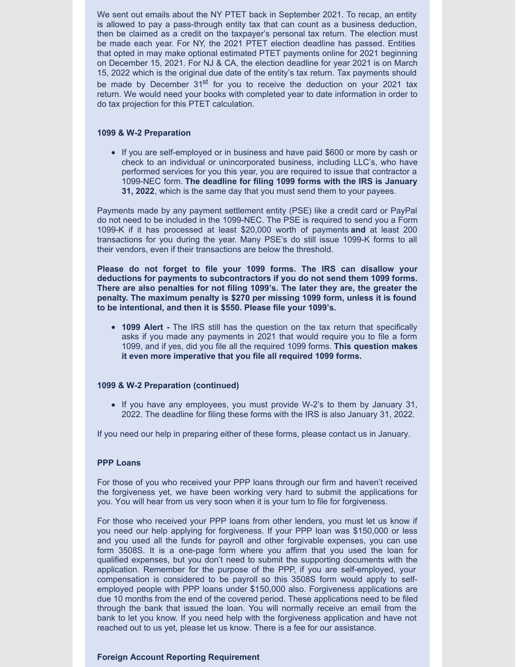We sent out emails about the NY PTET back in September 2021. To recap, an entity is allowed to pay a pass-through entity tax that can count as a business deduction, then be claimed as a credit on the taxpayer's personal tax return. The election must be made each year. For NY, the 2021 PTET election deadline has passed. Entities that opted in may make optional estimated PTET payments online for 2021 beginning on December 15, 2021. For NJ & CA, the election deadline for year 2021 is on March 15, 2022 which is the original due date of the entity's tax return. Tax payments should be made by December 31<sup>st</sup> for you to receive the deduction on your 2021 tax return. We would need your books with completed year to date information in order to do tax projection for this PTET calculation.

## **1099 & W-2 Preparation**

• If you are self-employed or in business and have paid \$600 or more by cash or check to an individual or unincorporated business, including LLC's, who have performed services for you this year, you are required to issue that contractor a 1099-NEC form. **The deadline for filing 1099 forms with the IRS is January 31, 2022**, which is the same day that you must send them to your payees.

Payments made by any payment settlement entity (PSE) like a credit card or PayPal do not need to be included in the 1099-NEC. The PSE is required to send you a Form 1099-K if it has processed at least \$20,000 worth of payments **and** at least 200 transactions for you during the year. Many PSE's do still issue 1099-K forms to all their vendors, even if their transactions are below the threshold.

**Please do not forget to file your 1099 forms. The IRS can disallow your deductions for payments to subcontractors if you do not send them 1099 forms. There are also penalties for not filing 1099's. The later they are, the greater the penalty. The maximum penalty is \$270 per missing 1099 form, unless it is found to be intentional, and then it is \$550. Please file your 1099's.**

**1099 Alert -** The IRS still has the question on the tax return that specifically asks if you made any payments in 2021 that would require you to file a form 1099, and if yes, did you file all the required 1099 forms. **This question makes it even more imperative that you file all required 1099 forms.**

# **1099 & W-2 Preparation (continued)**

If you have any employees, you must provide W-2's to them by January 31, 2022. The deadline for filing these forms with the IRS is also January 31, 2022.

If you need our help in preparing either of these forms, please contact us in January.

## **PPP Loans**

For those of you who received your PPP loans through our firm and haven't received the forgiveness yet, we have been working very hard to submit the applications for you. You will hear from us very soon when it is your turn to file for forgiveness.

For those who received your PPP loans from other lenders, you must let us know if you need our help applying for forgiveness. If your PPP loan was \$150,000 or less and you used all the funds for payroll and other forgivable expenses, you can use form 3508S. It is a one-page form where you affirm that you used the loan for qualified expenses, but you don't need to submit the supporting documents with the application. Remember for the purpose of the PPP, if you are self-employed, your compensation is considered to be payroll so this 3508S form would apply to selfemployed people with PPP loans under \$150,000 also. Forgiveness applications are due 10 months from the end of the covered period. These applications need to be filed through the bank that issued the loan. You will normally receive an email from the bank to let you know. If you need help with the forgiveness application and have not reached out to us yet, please let us know. There is a fee for our assistance.

## **Foreign Account Reporting Requirement**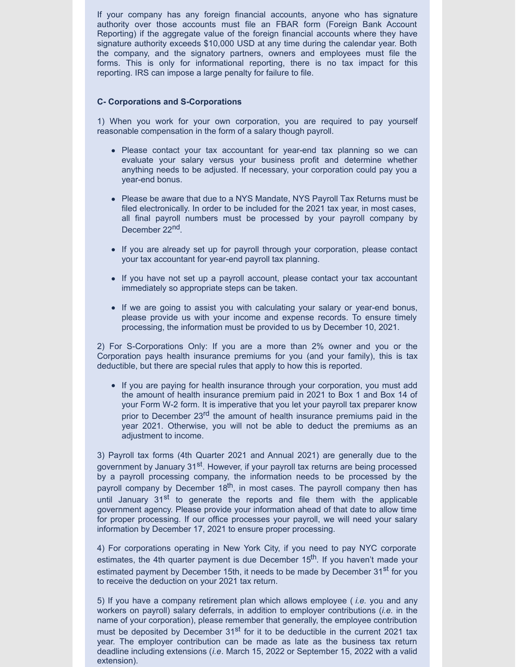If your company has any foreign financial accounts, anyone who has signature authority over those accounts must file an FBAR form (Foreign Bank Account Reporting) if the aggregate value of the foreign financial accounts where they have signature authority exceeds \$10,000 USD at any time during the calendar year. Both the company, and the signatory partners, owners and employees must file the forms. This is only for informational reporting, there is no tax impact for this reporting. IRS can impose a large penalty for failure to file.

## **C- Corporations and S-Corporations**

1) When you work for your own corporation, you are required to pay yourself reasonable compensation in the form of a salary though payroll.

- Please contact your tax accountant for year-end tax planning so we can evaluate your salary versus your business profit and determine whether anything needs to be adjusted. If necessary, your corporation could pay you a year-end bonus.
- Please be aware that due to a NYS Mandate, NYS Payroll Tax Returns must be filed electronically. In order to be included for the 2021 tax year, in most cases, all final payroll numbers must be processed by your payroll company by December 22<sup>nd</sup>.
- If you are already set up for payroll through your corporation, please contact your tax accountant for year-end payroll tax planning.
- If you have not set up a payroll account, please contact your tax accountant immediately so appropriate steps can be taken.
- If we are going to assist you with calculating your salary or year-end bonus, please provide us with your income and expense records. To ensure timely processing, the information must be provided to us by December 10, 2021.

2) For S-Corporations Only: If you are a more than 2% owner and you or the Corporation pays health insurance premiums for you (and your family), this is tax deductible, but there are special rules that apply to how this is reported.

• If you are paying for health insurance through your corporation, you must add the amount of health insurance premium paid in 2021 to Box 1 and Box 14 of your Form W-2 form. It is imperative that you let your payroll tax preparer know prior to December 23<sup>rd</sup> the amount of health insurance premiums paid in the year 2021. Otherwise, you will not be able to deduct the premiums as an adjustment to income.

3) Payroll tax forms (4th Quarter 2021 and Annual 2021) are generally due to the government by January 31<sup>st</sup>. However, if your payroll tax returns are being processed by a payroll processing company, the information needs to be processed by the payroll company by December 18<sup>th</sup>, in most cases. The payroll company then has until January 31<sup>st</sup> to generate the reports and file them with the applicable government agency. Please provide your information ahead of that date to allow time for proper processing. If our office processes your payroll, we will need your salary information by December 17, 2021 to ensure proper processing.

4) For corporations operating in New York City, if you need to pay NYC corporate estimates, the 4th quarter payment is due December 15<sup>th</sup>. If you haven't made your estimated payment by December 15th, it needs to be made by December 31<sup>st</sup> for you to receive the deduction on your 2021 tax return.

5) If you have a company retirement plan which allows employee ( *i.e.* you and any workers on payroll) salary deferrals, in addition to employer contributions (*i.e.* in the name of your corporation), please remember that generally, the employee contribution must be deposited by December 31<sup>st</sup> for it to be deductible in the current 2021 tax year. The employer contribution can be made as late as the business tax return deadline including extensions (*i.e*. March 15, 2022 or September 15, 2022 with a valid extension).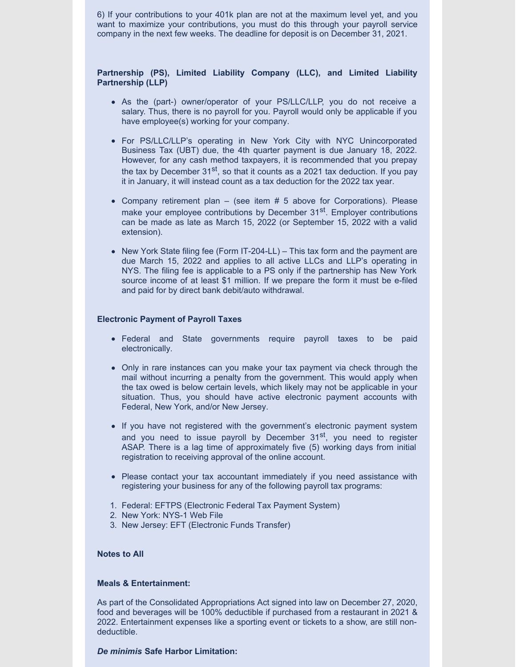6) If your contributions to your 401k plan are not at the maximum level yet, and you want to maximize your contributions, you must do this through your payroll service company in the next few weeks. The deadline for deposit is on December 31, 2021.

## **Partnership (PS), Limited Liability Company (LLC), and Limited Liability Partnership (LLP)**

- As the (part-) owner/operator of your PS/LLC/LLP, you do not receive a salary. Thus, there is no payroll for you. Payroll would only be applicable if you have employee(s) working for your company.
- For PS/LLC/LLP's operating in New York City with NYC Unincorporated Business Tax (UBT) due, the 4th quarter payment is due January 18, 2022. However, for any cash method taxpayers, it is recommended that you prepay the tax by December 31<sup>st</sup>, so that it counts as a 2021 tax deduction. If you pay it in January, it will instead count as a tax deduction for the 2022 tax year.
- Company retirement plan  $-$  (see item  $# 5$  above for Corporations). Please make your employee contributions by December 31<sup>st</sup>. Employer contributions can be made as late as March 15, 2022 (or September 15, 2022 with a valid extension).
- New York State filing fee (Form IT-204-LL) This tax form and the payment are due March 15, 2022 and applies to all active LLCs and LLP's operating in NYS. The filing fee is applicable to a PS only if the partnership has New York source income of at least \$1 million. If we prepare the form it must be e-filed and paid for by direct bank debit/auto withdrawal.

## **Electronic Payment of Payroll Taxes**

- Federal and State governments require payroll taxes to be paid electronically.
- Only in rare instances can you make your tax payment via check through the mail without incurring a penalty from the government. This would apply when the tax owed is below certain levels, which likely may not be applicable in your situation. Thus, you should have active electronic payment accounts with Federal, New York, and/or New Jersey.
- If you have not registered with the government's electronic payment system and you need to issue payroll by December 31<sup>st</sup>, you need to register ASAP. There is a lag time of approximately five (5) working days from initial registration to receiving approval of the online account.
- Please contact your tax accountant immediately if you need assistance with registering your business for any of the following payroll tax programs:
- 1. Federal: EFTPS (Electronic Federal Tax Payment System)
- 2. New York: NYS-1 Web File
- 3. New Jersey: EFT (Electronic Funds Transfer)

## **Notes to All**

## **Meals & Entertainment:**

As part of the Consolidated Appropriations Act signed into law on December 27, 2020, food and beverages will be 100% deductible if purchased from a restaurant in 2021 & 2022. Entertainment expenses like a sporting event or tickets to a show, are still nondeductible.

## *De minimis* **Safe Harbor Limitation:**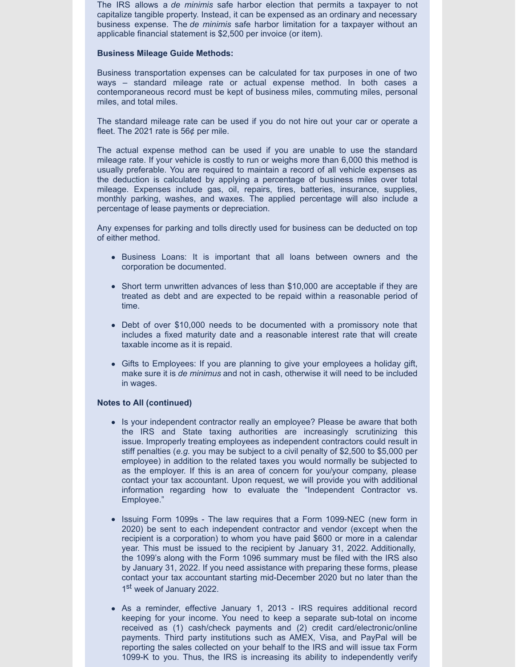The IRS allows a *de minimis* safe harbor election that permits a taxpayer to not capitalize tangible property. Instead, it can be expensed as an ordinary and necessary business expense. The *de minimis* safe harbor limitation for a taxpayer without an applicable financial statement is \$2,500 per invoice (or item).

## **Business Mileage Guide Methods:**

Business transportation expenses can be calculated for tax purposes in one of two ways – standard mileage rate or actual expense method. In both cases a contemporaneous record must be kept of business miles, commuting miles, personal miles, and total miles.

The standard mileage rate can be used if you do not hire out your car or operate a fleet. The 2021 rate is 56¢ per mile.

The actual expense method can be used if you are unable to use the standard mileage rate. If your vehicle is costly to run or weighs more than 6,000 this method is usually preferable. You are required to maintain a record of all vehicle expenses as the deduction is calculated by applying a percentage of business miles over total mileage. Expenses include gas, oil, repairs, tires, batteries, insurance, supplies, monthly parking, washes, and waxes. The applied percentage will also include a percentage of lease payments or depreciation.

Any expenses for parking and tolls directly used for business can be deducted on top of either method.

- Business Loans: It is important that all loans between owners and the corporation be documented.
- Short term unwritten advances of less than \$10,000 are acceptable if they are treated as debt and are expected to be repaid within a reasonable period of time.
- Debt of over \$10,000 needs to be documented with a promissory note that includes a fixed maturity date and a reasonable interest rate that will create taxable income as it is repaid.
- Gifts to Employees: If you are planning to give your employees a holiday gift, make sure it is *de minimus* and not in cash, otherwise it will need to be included in wages.

# **Notes to All (continued)**

- Is your independent contractor really an employee? Please be aware that both the IRS and State taxing authorities are increasingly scrutinizing this issue. Improperly treating employees as independent contractors could result in stiff penalties (*e.g*. you may be subject to a civil penalty of \$2,500 to \$5,000 per employee) in addition to the related taxes you would normally be subjected to as the employer. If this is an area of concern for you/your company, please contact your tax accountant. Upon request, we will provide you with additional information regarding how to evaluate the "Independent Contractor vs. Employee."
- Issuing Form 1099s The law requires that a Form 1099-NEC (new form in 2020) be sent to each independent contractor and vendor (except when the recipient is a corporation) to whom you have paid \$600 or more in a calendar year. This must be issued to the recipient by January 31, 2022. Additionally, the 1099's along with the Form 1096 summary must be filed with the IRS also by January 31, 2022. If you need assistance with preparing these forms, please contact your tax accountant starting mid-December 2020 but no later than the 1<sup>st</sup> week of January 2022.
- As a reminder, effective January 1, 2013 IRS requires additional record keeping for your income. You need to keep a separate sub-total on income received as (1) cash/check payments and (2) credit card/electronic/online payments. Third party institutions such as AMEX, Visa, and PayPal will be reporting the sales collected on your behalf to the IRS and will issue tax Form 1099-K to you. Thus, the IRS is increasing its ability to independently verify